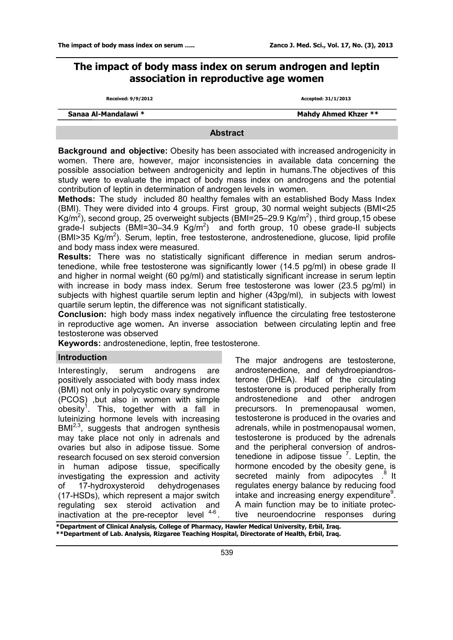# **The impact of body mass index on serum androgen and leptin association in reproductive age women**

|  | <b>Received: 9/9/2012</b> |
|--|---------------------------|
|--|---------------------------|

**Received: 9/9/2012 Accepted: 31/1/2013**

| Sanaa Al-Mandalawi * |  |
|----------------------|--|
|----------------------|--|

**Mahdy Ahmed Khzer \*\*** 

### **Abstract**

**Background and objective:** Obesity has been associated with increased androgenicity in women. There are, however, major inconsistencies in available data concerning the possible association between androgenicity and leptin in humans.The objectives of this study were to evaluate the impact of body mass index on androgens and the potential contribution of leptin in determination of androgen levels in women.

**Methods:** The study included 80 healthy females with an established Body Mass Index (BMI). They were divided into 4 groups. First group, 30 normal weight subjects (BMI<25 Kg/m<sup>2</sup>), second group, 25 overweight subjects (BMI=25–29.9 Kg/m<sup>2</sup>), third group,15 obese grade-I subjects (BMI=30-34.9  $Kg/m^2$ ) and forth group, 10 obese grade-II subjects  $(BM$  $>$ 35 Kg/m<sup>2</sup>). Serum, leptin, free testosterone, androstenedione, glucose, lipid profile and body mass index were measured.

**Results:** There was no statistically significant difference in median serum androstenedione, while free testosterone was significantly lower (14.5 pg/ml) in obese grade II and higher in normal weight (60 pg/ml) and statistically significant increase in serum leptin with increase in body mass index. Serum free testosterone was lower (23.5 pg/ml) in subjects with highest quartile serum leptin and higher (43pg/ml), in subjects with lowest quartile serum leptin, the difference was not significant statistically.

**Conclusion:** high body mass index negatively influence the circulating free testosterone in reproductive age women**.** An inverse association between circulating leptin and free testosterone was observed

**Keywords:** androstenedione, leptin, free testosterone.

## **Introduction**

Interestingly, serum androgens are positively associated with body mass index (BMI) not only in polycystic ovary syndrome (PCOS) ,but also in women with simple obesity<sup>1</sup>. This, together with a fall in luteinizing hormone levels with increasing BMI<sup>2,3</sup>, suggests that androgen synthesis may take place not only in adrenals and ovaries but also in adipose tissue. Some research focused on sex steroid conversion in human adipose tissue, specifically investigating the expression and activity of 17-hydroxysteroid dehydrogenases (17-HSDs), which represent a major switch regulating sex steroid activation and inactivation at the pre-receptor level  $4-6$ .

The major androgens are testosterone, androstenedione, and dehydroepiandrosterone (DHEA). Half of the circulating testosterone is produced peripherally from androstenedione and other androgen precursors. In premenopausal women, testosterone is produced in the ovaries and adrenals, while in postmenopausal women, testosterone is produced by the adrenals and the peripheral conversion of androstenedione in adipose tissue  $<sup>7</sup>$ . Leptin, the</sup> hormone encoded by the obesity gene, is secreted mainly from adipocytes .<sup>8</sup> It regulates energy balance by reducing food intake and increasing energy expenditure<sup>9</sup>. A main function may be to initiate protective neuroendocrine responses during

**\*Department of Clinical Analysis, College of Pharmacy, Hawler Medical University, Erbil, Iraq. \*\*Department of Lab. Analysis, Rizgaree Teaching Hospital, Directorate of Health, Erbil, Iraq.**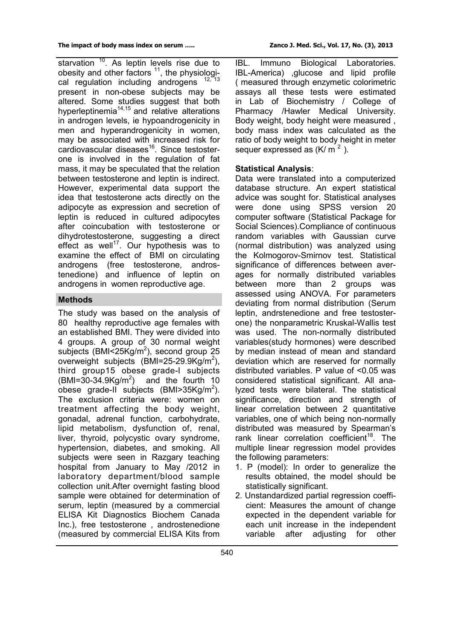starvation  $10$ . As leptin levels rise due to obesity and other factors  $11$ , the physiological regulation including androgens <sup>12, 13</sup> present in non-obese subjects may be altered. Some studies suggest that both hyperleptinemia<sup>14,15</sup> and relative alterations in androgen levels, ie hypoandrogenicity in men and hyperandrogenicity in women, may be associated with increased risk for cardiovascular diseases<sup>16</sup>. Since testosterone is involved in the regulation of fat mass, it may be speculated that the relation between testosterone and leptin is indirect. However, experimental data support the idea that testosterone acts directly on the adipocyte as expression and secretion of leptin is reduced in cultured adipocytes after coincubation with testosterone or dihydrotestosterone, suggesting a direct effect as well<sup>17</sup>. Our hypothesis was to examine the effect of BMI on circulating androgens (free testosterone, androstenedione) and influence of leptin on androgens in women reproductive age.

## **Methods**

The study was based on the analysis of 80 healthy reproductive age females with an established BMI. They were divided into 4 groups. A group of 30 normal weight subjects (BMI<25Kg/m<sup>2</sup>), second group 25 overweight subjects (BMI=25-29.9Kg/m<sup>2</sup>), third group15 obese grade-I subjects  $(BMI = 30 - 34.9Kg/m<sup>2</sup>)$ ) and the fourth 10 obese grade-II subjects (BMI>35Kg/m<sup>2</sup>). The exclusion criteria were: women on treatment affecting the body weight, gonadal, adrenal function, carbohydrate, lipid metabolism, dysfunction of, renal, liver, thyroid, polycystic ovary syndrome, hypertension, diabetes, and smoking. All subjects were seen in Razgary teaching hospital from January to May /2012 in laboratory department/blood sample collection unit.After overnight fasting blood sample were obtained for determination of serum, leptin (measured by a commercial ELISA Kit Diagnostics Biochem Canada Inc.), free testosterone , androstenedione (measured by commercial ELISA Kits from

IBL. Immuno Biological Laboratories. IBL-America) ,glucose and lipid profile ( measured through enzymetic colorimetric assays all these tests were estimated in Lab of Biochemistry / College of Pharmacy /Hawler Medical University. Body weight, body height were measured , body mass index was calculated as the ratio of body weight to body height in meter sequer expressed as  $(K/m<sup>2</sup>)$ .

## **Statistical Analysis**:

Data were translated into a computerized database structure. An expert statistical advice was sought for. Statistical analyses were done using SPSS version 20 computer software (Statistical Package for Social Sciences).Compliance of continuous random variables with Gaussian curve (normal distribution) was analyzed using the Kolmogorov-Smirnov test. Statistical significance of differences between averages for normally distributed variables between more than 2 groups was assessed using ANOVA. For parameters deviating from normal distribution (Serum leptin, andrstenedione and free testosterone) the nonparametric Kruskal-Wallis test was used. The non-normally distributed variables(study hormones) were described by median instead of mean and standard deviation which are reserved for normally distributed variables. P value of <0.05 was considered statistical significant. All analyzed tests were bilateral. The statistical significance, direction and strength of linear correlation between 2 quantitative variables, one of which being non-normally distributed was measured by Spearman's rank linear correlation coefficient<sup>18</sup>. The multiple linear regression model provides the following parameters:

- 1. P (model): In order to generalize the results obtained, the model should be statistically significant.
- 2. Unstandardized partial regression coefficient: Measures the amount of change expected in the dependent variable for each unit increase in the independent variable after adjusting for other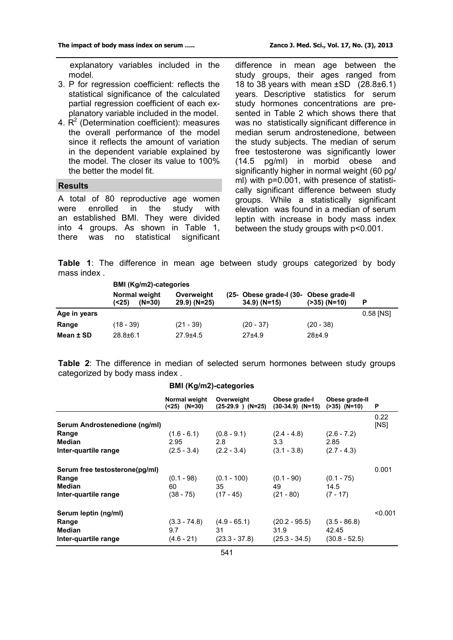explanatory variables included in the model.

- 3. P for regression coefficient: reflects the statistical significance of the calculated partial regression coefficient of each explanatory variable included in the model.
- 4.  $R^2$  (Determination coefficient): measures the overall performance of the model since it reflects the amount of variation in the dependent variable explained by the model. The closer its value to 100% the better the model fit.

#### **Results**

A total of 80 reproductive age women were enrolled in the study with an established BMI. They were divided into 4 groups. As shown in Table 1, there was no statistical significant

difference in mean age between the study groups, their ages ranged from 18 to 38 years with mean ±SD (28.8±6.1) years. Descriptive statistics for serum study hormones concentrations are presented in Table 2 which shows there that was no statistically significant difference in median serum androstenedione, between the study subjects. The median of serum free testosterone was significantly lower (14.5 pg/ml) in morbid obese and significantly higher in normal weight (60 pg/ ml) with p=0.001, with presence of statistically significant difference between study groups. While a statistically significant elevation was found in a median of serum leptin with increase in body mass index between the study groups with p<0.001.

**Table 1**: The difference in mean age between study groups categorized by body mass index .

|              | <b>BMI (Kg/m2)-categories</b>      |                               |  |                                                           |                 |           |
|--------------|------------------------------------|-------------------------------|--|-----------------------------------------------------------|-----------------|-----------|
|              | Normal weight<br>$(N=30)$<br>(<25) | Overweight<br>$(29.9)$ (N=25) |  | (25- Obese grade-I (30- Obese grade-II)<br>$34.9) (N=15)$ | $( >35) (N=10)$ | Р         |
| Age in years |                                    |                               |  |                                                           |                 | 0.58 [NS] |
| Range        | $(18 - 39)$                        | $(21 - 39)$                   |  | $(20 - 37)$                                               | $(20 - 38)$     |           |
| Mean ± SD    | $28.8 \pm 6.1$                     | $27.9 + 4.5$                  |  | $27+4.9$                                                  | $28+4.9$        |           |

**Table 2**: The difference in median of selected serum hormones between study groups categorized by body mass index .

|                                                                           | Normal weight<br>$( < 25)$ $(N=30)$    | Overweight<br>$(25-29.9)$ $(N=25)$      | Obese grade-<br>(30-34.9) (N=15)           | Obese grade-II<br>$( >35)$ $(N=10)$        | P            |
|---------------------------------------------------------------------------|----------------------------------------|-----------------------------------------|--------------------------------------------|--------------------------------------------|--------------|
| Serum Androstenedione (ng/ml)                                             |                                        |                                         |                                            |                                            | 0.22<br>[NS] |
| Range<br>Median<br>Inter-quartile range                                   | $(1.6 - 6.1)$<br>2.95<br>$(2.5 - 3.4)$ | $(0.8 - 9.1)$<br>2.8<br>$(2.2 - 3.4)$   | $(2.4 - 4.8)$<br>3.3<br>$(3.1 - 3.8)$      | $(2.6 - 7.2)$<br>2.85<br>$(2.7 - 4.3)$     |              |
| Serum free testosterone(pg/ml)<br>Range<br>Median<br>Inter-quartile range | $(0.1 - 98)$<br>60<br>$(38 - 75)$      | $(0.1 - 100)$<br>35<br>$(17 - 45)$      | $(0.1 - 90)$<br>49<br>$(21 - 80)$          | $(0.1 - 75)$<br>14.5<br>$(7 - 17)$         | 0.001        |
| Serum leptin (ng/ml)<br>Range<br>Median<br>Inter-quartile range           | $(3.3 - 74.8)$<br>9.7<br>$(4.6 - 21)$  | $(4.9 - 65.1)$<br>31<br>$(23.3 - 37.8)$ | $(20.2 - 95.5)$<br>31.9<br>$(25.3 - 34.5)$ | $(3.5 - 86.8)$<br>42.45<br>$(30.8 - 52.5)$ | < 0.001      |

#### **BMI (Kg/m2)-categories**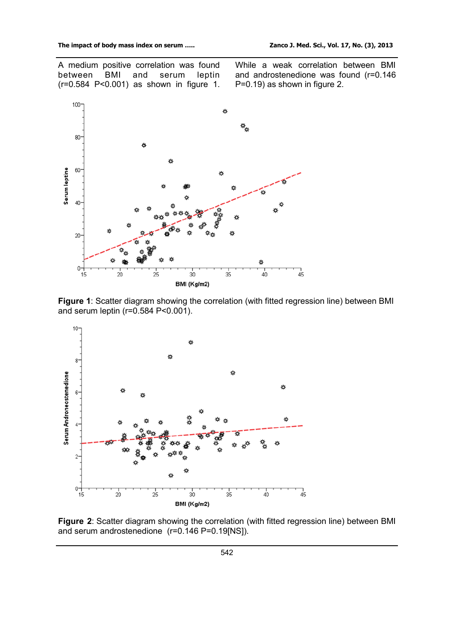A medium positive correlation was found<br>between BMI and serum leptin between (r=0.584 P<0.001) as shown in figure 1. While a weak correlation between BMI and androstenedione was found (r=0.146 P=0.19) as shown in figure 2.



**Figure 1**: Scatter diagram showing the correlation (with fitted regression line) between BMI and serum leptin (r=0.584 P<0.001).



**Figure 2**: Scatter diagram showing the correlation (with fitted regression line) between BMI and serum androstenedione (r=0.146 P=0.19[NS]).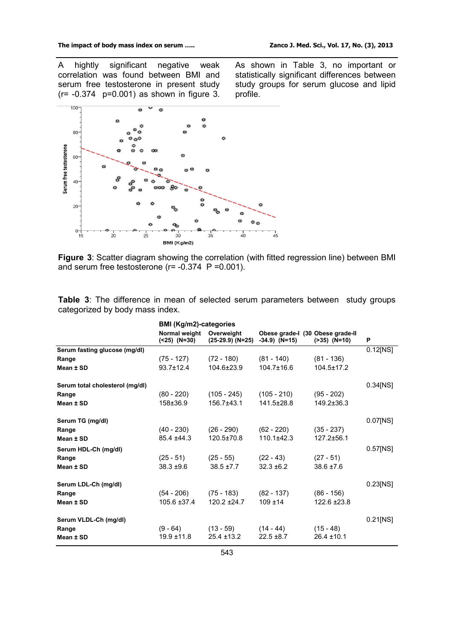A hightly significant negative weak correlation was found between BMI and serum free testosterone in present study (r= -0.374 p=0.001) as shown in figure 3. As shown in Table 3, no important or statistically significant differences between study groups for serum glucose and lipid profile.



**Figure 3**: Scatter diagram showing the correlation (with fitted regression line) between BMI and serum free testosterone ( $r = -0.374$  P = 0.001).

**Table 3**: The difference in mean of selected serum parameters between study groups categorized by body mass index.

|                                 | <b>BMI (Kg/m2)-categories</b> |                                  |                                                    |                   |             |
|---------------------------------|-------------------------------|----------------------------------|----------------------------------------------------|-------------------|-------------|
|                                 | Normal weight<br>(<25) (N=30) | Overweight<br>$(25-29.9)$ (N=25) | Obese grade-I (30 Obese grade-II<br>$-34.9$ (N=15) | $( >35)$ $(N=10)$ | P           |
| Serum fasting glucose (mg/dl)   |                               |                                  |                                                    |                   | $0.12$ [NS] |
| Range                           | $(75 - 127)$                  | (72 - 180)                       | $(81 - 140)$                                       | $(81 - 136)$      |             |
| Mean ± SD                       | $93.7 \pm 12.4$               | 104.6±23.9                       | $104.7 \pm 16.6$                                   | $104.5 \pm 17.2$  |             |
| Serum total cholesterol (mg/dl) |                               |                                  |                                                    |                   | $0.34$ [NS] |
| Range                           | $(80 - 220)$                  | (105 - 245)                      | $(105 - 210)$                                      | $(95 - 202)$      |             |
| Mean ± SD                       | 158±36.9                      | 156.7±43.1                       | $141.5 \pm 28.8$                                   | 149.2±36.3        |             |
| Serum TG (mg/dl)                |                               |                                  |                                                    |                   | $0.07$ [NS] |
| Range                           | $(40 - 230)$                  | $(26 - 290)$                     | $(62 - 220)$                                       | $(35 - 237)$      |             |
| Mean ± SD                       | $85.4 + 44.3$                 | $120.5 \pm 70.8$                 | $110.1 \pm 42.3$                                   | $127.2 + 56.1$    |             |
| Serum HDL-Ch (mg/dl)            |                               |                                  |                                                    |                   | $0.57$ [NS] |
| Range                           | $(25 - 51)$                   | $(25 - 55)$                      | $(22 - 43)$                                        | $(27 - 51)$       |             |
| Mean ± SD                       | $38.3 + 9.6$                  | $38.5 \pm 7.7$                   | $32.3 \pm 6.2$                                     | $38.6 \pm 7.6$    |             |
| Serum LDL-Ch (mg/dl)            |                               |                                  |                                                    |                   | 0.23[NS]    |
| Range                           | $(54 - 206)$                  | $(75 - 183)$                     | $(82 - 137)$                                       | $(86 - 156)$      |             |
| Mean ± SD                       | $105.6 \pm 37.4$              | $120.2 + 24.7$                   | $109 + 14$                                         | $122.6 \pm 23.8$  |             |
| Serum VLDL-Ch (mg/dl)           |                               |                                  |                                                    |                   | $0.21$ [NS] |
| Range                           | (9 - 64)                      | $(13 - 59)$                      | $(14 - 44)$                                        | $(15 - 48)$       |             |
| Mean ± SD                       | $19.9 + 11.8$                 | $25.4 \pm 13.2$                  | $22.5 \pm 8.7$                                     | $26.4 \pm 10.1$   |             |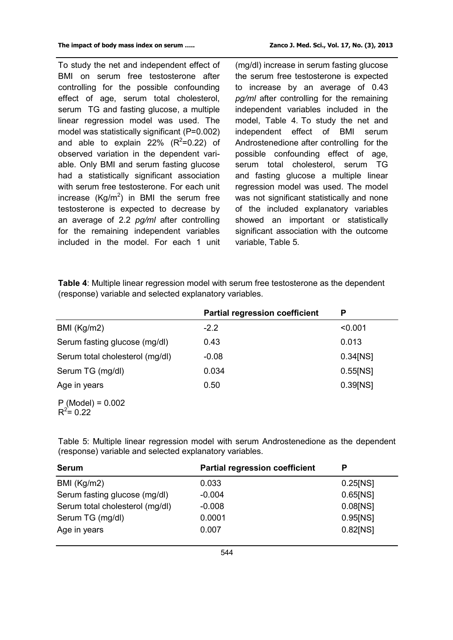To study the net and independent effect of BMI on serum free testosterone after controlling for the possible confounding effect of age, serum total cholesterol, serum TG and fasting glucose, a multiple linear regression model was used. The model was statistically significant (P=0.002) and able to explain 22%  $(R^2=0.22)$  of observed variation in the dependent variable. Only BMI and serum fasting glucose had a statistically significant association with serum free testosterone. For each unit increase (Kg/m<sup>2</sup>) in BMI the serum free testosterone is expected to decrease by an average of 2.2 *pg/ml* after controlling for the remaining independent variables included in the model. For each 1 unit

(mg/dl) increase in serum fasting glucose the serum free testosterone is expected to increase by an average of 0.43 *pg/ml* after controlling for the remaining independent variables included in the model, Table 4. To study the net and independent effect of BMI serum Androstenedione after controlling for the possible confounding effect of age, serum total cholesterol, serum TG and fasting glucose a multiple linear regression model was used. The model was not significant statistically and none of the included explanatory variables showed an important or statistically significant association with the outcome variable, Table 5.

**Table 4**: Multiple linear regression model with serum free testosterone as the dependent (response) variable and selected explanatory variables.

|                                              | <b>Partial regression coefficient</b> | P           |
|----------------------------------------------|---------------------------------------|-------------|
| BMI (Kg/m2)                                  | $-2.2$                                | < 0.001     |
| Serum fasting glucose (mg/dl)                | 0.43                                  | 0.013       |
| Serum total cholesterol (mg/dl)              | $-0.08$                               | $0.34$ [NS] |
| Serum TG (mg/dl)                             | 0.034                                 | $0.55$ [NS] |
| Age in years                                 | 0.50                                  | 0.39[NS]    |
| P (Model) = $0.002$<br>R <sup>2</sup> = 0.22 |                                       |             |

Table 5: Multiple linear regression model with serum Androstenedione as the dependent (response) variable and selected explanatory variables.

| <b>Serum</b>                    | <b>Partial regression coefficient</b> | D           |
|---------------------------------|---------------------------------------|-------------|
| BMI (Kg/m2)                     | 0.033                                 | $0.25$ [NS] |
| Serum fasting glucose (mg/dl)   | $-0.004$                              | $0.65$ [NS] |
| Serum total cholesterol (mg/dl) | $-0.008$                              | 0.08[NS]    |
| Serum TG (mg/dl)                | 0.0001                                | 0.95[NS]    |
| Age in years                    | 0.007                                 | 0.82[NS]    |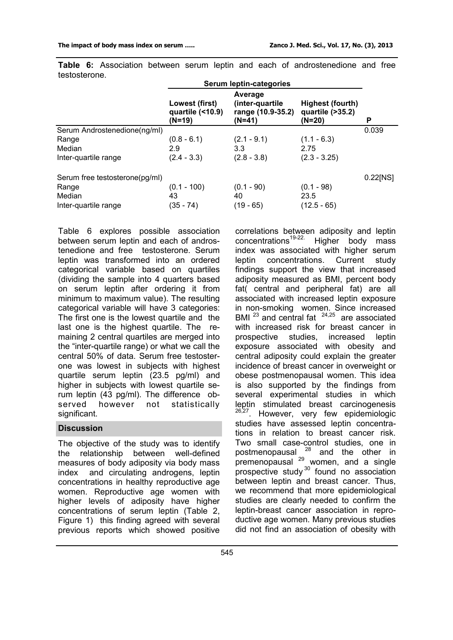| Lowest (first)<br>quartile $($ < 10.9)<br>(N=19) | Average<br>(inter-quartile<br>range (10.9-35.2)<br>$(N=41)$ | Highest (fourth)<br>quartile (>35.2)<br>(N=20) | P             |
|--------------------------------------------------|-------------------------------------------------------------|------------------------------------------------|---------------|
|                                                  |                                                             |                                                | 0.039         |
| $(0.8 - 6.1)$                                    | $(2.1 - 9.1)$                                               | $(1.1 - 6.3)$                                  |               |
| 2.9                                              | 3.3                                                         | 2.75                                           |               |
| $(2.4 - 3.3)$                                    | $(2.8 - 3.8)$                                               | $(2.3 - 3.25)$                                 |               |
|                                                  |                                                             |                                                | $0.22$ [NS]   |
| $(0.1 - 100)$                                    | $(0.1 - 90)$                                                | $(0.1 - 98)$                                   |               |
| 43                                               | 40                                                          | 23.5                                           |               |
| (35 - 74)                                        |                                                             |                                                |               |
|                                                  |                                                             | Serum leptin-categories<br>$(19 - 65)$         | $(12.5 - 65)$ |

**Table 6:** Association between serum leptin and each of androstenedione and free testosterone.

Table 6 explores possible association between serum leptin and each of androstenedione and free testosterone. Serum leptin was transformed into an ordered categorical variable based on quartiles (dividing the sample into 4 quarters based on serum leptin after ordering it from minimum to maximum value). The resulting categorical variable will have 3 categories: The first one is the lowest quartile and the last one is the highest quartile. The remaining 2 central quartiles are merged into the "inter-quartile range) or what we call the central 50% of data. Serum free testosterone was lowest in subjects with highest quartile serum leptin (23.5 pg/ml) and higher in subjects with lowest quartile serum leptin (43 pg/ml). The difference observed however not statistically significant.

## **Discussion**

The objective of the study was to identify the relationship between well-defined measures of body adiposity via body mass index and circulating androgens, leptin concentrations in healthy reproductive age women. Reproductive age women with higher levels of adiposity have higher concentrations of serum leptin (Table 2, Figure 1) this finding agreed with several previous reports which showed positive

correlations between adiposity and leptin  $concentrations<sup>19-22</sup>$  Higher body mass index was associated with higher serum leptin concentrations. Current study findings support the view that increased adiposity measured as BMI, percent body fat( central and peripheral fat) are all associated with increased leptin exposure in non-smoking women. Since increased BMI  $^{23}$  and central fat  $^{24,25}$  are associated with increased risk for breast cancer in prospective studies, increased leptin exposure associated with obesity and central adiposity could explain the greater incidence of breast cancer in overweight or obese postmenopausal women. This idea is also supported by the findings from several experimental studies in which leptin stimulated breast carcinogenesis <sup>26,27</sup>. However, very few epidemiologic studies have assessed leptin concentrations in relation to breast cancer risk. Two small case-control studies, one in postmenopausal <sup>28</sup> and the other in premenopausal <sup>29</sup> women, and a single prospective study<sup>30</sup> found no association between leptin and breast cancer. Thus, we recommend that more epidemiological studies are clearly needed to confirm the leptin-breast cancer association in reproductive age women. Many previous studies did not find an association of obesity with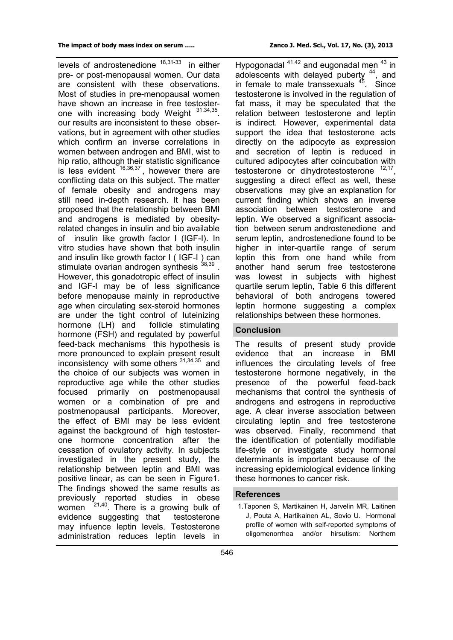levels of androstenedione <sup>18,31-33</sup> in either pre- or post-menopausal women. Our data are consistent with these observations. Most of studies in pre-menopausal women have shown an increase in free testosterone with increasing body Weight <sup>31,34,35</sup>. our results are inconsistent to these observations, but in agreement with other studies which confirm an inverse correlations in women between androgen and BMI, wist to hip ratio, although their statistic significance is less evident  $16,36,37$ , however there are conflicting data on this subject. The matter of female obesity and androgens may still need in-depth research. It has been proposed that the relationship between BMI and androgens is mediated by obesityrelated changes in insulin and bio available of insulin like growth factor I (IGF-I). In vitro studies have shown that both insulin and insulin like growth factor I ( IGF-I ) can stimulate ovarian androgen synthesis 38,39. However, this gonadotropic effect of insulin and IGF-I may be of less significance before menopause mainly in reproductive age when circulating sex-steroid hormones are under the tight control of luteinizing hormone (LH) and follicle stimulating hormone (FSH) and regulated by powerful feed-back mechanisms this hypothesis is more pronounced to explain present result inconsistency with some others  $31,34,35$  and the choice of our subjects was women in reproductive age while the other studies focused primarily on postmenopausal women or a combination of pre and postmenopausal participants. Moreover, the effect of BMI may be less evident against the background of high testosterone hormone concentration after the cessation of ovulatory activity. In subjects investigated in the present study, the relationship between leptin and BMI was positive linear, as can be seen in Figure1. The findings showed the same results as previously reported studies in obese

women  $21,40$ . There is a growing bulk of evidence suggesting that testosterone may infuence leptin levels. Testosterone administration reduces leptin levels in

Hypogonadal  $41,42$  and eugonadal men  $43$  in adolescents with delayed puberty <sup>44</sup>, and in female to male transsexuals  $45$ . Since testosterone is involved in the regulation of fat mass, it may be speculated that the relation between testosterone and leptin is indirect. However, experimental data support the idea that testosterone acts directly on the adipocyte as expression and secretion of leptin is reduced in cultured adipocytes after coincubation with testosterone or dihydrotestosterone <sup>12,17</sup>, suggesting a direct effect as well, these observations may give an explanation for current finding which shows an inverse association between testosterone and leptin. We observed a significant association between serum androstenedione and serum leptin, androstenedione found to be higher in inter-quartile range of serum leptin this from one hand while from another hand serum free testosterone was lowest in subjects with highest quartile serum leptin, Table 6 this different behavioral of both androgens towered leptin hormone suggesting a complex relationships between these hormones.

## **Conclusion**

The results of present study provide evidence that an increase in BMI influences the circulating levels of free testosterone hormone negatively, in the presence of the powerful feed-back mechanisms that control the synthesis of androgens and estrogens in reproductive age. A clear inverse association between circulating leptin and free testosterone was observed. Finally, recommend that the identification of potentially modifiable life-style or investigate study hormonal determinants is important because of the increasing epidemiological evidence linking these hormones to cancer risk.

## **References**

1.Taponen S, Martikainen H, Jarvelin MR, Laitinen J, Pouta A, Hartikainen AL, Sovio U. Hormonal profile of women with self-reported symptoms of oligomenorrhea and/or hirsutism: Northern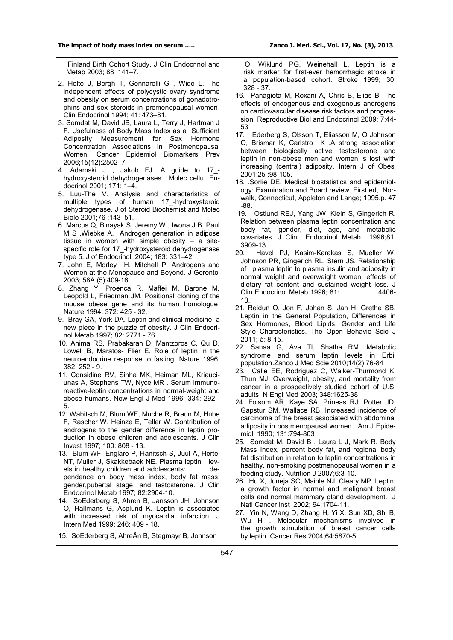Finland Birth Cohort Study. J Clin Endocrinol and Metab 2003; 88 :141–7.

- 2. Holte J, Bergh T, Gennarelli G , Wide L. The independent effects of polycystic ovary syndrome and obesity on serum concentrations of gonadotrophins and sex steroids in premenopausal women. Clin Endocrinol 1994; 41: 473–81.
- 3. Somdat M, David JB, Laura L, Terry J, Hartman J F. Usefulness of Body Mass Index as a Sufficient Adiposity Measurement for Sex Hormone Concentration Associations in Postmenopausal Women. Cancer Epidemiol Biomarkers Prev 2006;15(12):2502–7
- 4. Adamski J , Jakob FJ. A guide to 17\_ hydroxysteroid dehydrogenases. Molec cellu Endocrinol 2001; 171: 1–4.
- 5. Luu-The V. Analysis and characteristics of multiple types of human 17-hydroxysteroid dehydrogenase. J of Steroid Biochemist and Molec Biolo 2001;76 :143–51.
- 6. Marcus Q, Binayak S, Jeremy W , Iwona J B, Paul M S ,Wiebke A. Androgen generation in adipose tissue in women with simple obesity – a sitespecific role for 17\_-hydroxysteroid dehydrogenase type 5. J of Endocrinol 2004; 183: 331–42
- 7. John E, Morley H, Mitchell P. Androgens and Women at the Menopause and Beyond. J Gerontol 2003; 58A (5):409-16.
- 8. Zhang Y, Proenca R, Maffei M, Barone M, Leopold L, Friedman JM. Positional cloning of the mouse obese gene and its human homologue. Nature 1994; 372: 425 - 32.
- 9. Bray GA, York DA. Leptin and clinical medicine: a new piece in the puzzle of obesity. J Clin Endocrinol Metab 1997; 82: 2771 - 76.
- 10. Ahima RS, Prabakaran D, Mantzoros C, Qu D, Lowell B, Maratos- Flier E. Role of leptin in the neuroendocrine response to fasting. Nature 1996; 382: 252 - 9.
- 11. Considine RV, Sinha MK, Heiman ML, Kriauciunas A, Stephens TW, Nyce MR . Serum immunoreactive-leptin concentrations in normal-weight and obese humans. New Engl J Med 1996; 334: 292 - 5.
- 12. Wabitsch M, Blum WF, Muche R, Braun M, Hube F, Rascher W, Heinze E, Teller W. Contribution of androgens to the gender difference in leptin production in obese children and adolescents. J Clin Invest 1997; 100: 808 - 13.
- 13. Blum WF, Englaro P, Hanitsch S, Juul A, Hertel NT, Muller J, Skakkebaek NE. Plasma leptin levels in healthy children and adolescents: dependence on body mass index, body fat mass, gender,pubertal stage, and testosterone. J Clin Endocrinol Metab 1997; 82:2904-10.
- 14. SoEderberg S, Ahren B, Jansson JH, Johnson O, Hallmans G, Asplund K. Leptin is associated with increased risk of myocardial infarction. J Intern Med 1999; 246: 409 - 18.
- 15. SoEderberg S, AhreÂn B, Stegmayr B, Johnson

 O, Wiklund PG, Weinehall L. Leptin is a risk marker for first-ever hemorrhagic stroke in a population-based cohort. Stroke 1999; 30: 328 - 37.

- 16. Panagiota M, Roxani A, Chris B, Elias B. The effects of endogenous and exogenous androgens on cardiovascular disease risk factors and progression. Reproductive Biol and Endocrinol 2009; 7:44- 53
- 17. Ederberg S, Olsson T, Eliasson M, O Johnson O, Brismar K, Carlstro K .A strong association between biologically active testosterone and leptin in non-obese men and women is lost with increasing (central) adiposity. Intern J of Obesi 2001;25 :98-105.
- 18. .Sorlie DE. Medical biostatistics and epidemiology: Examination and Board review. First ed, Norwalk, Connecticut, Appleton and Lange; 1995.p. 47 -88.
- 19. Ostlund REJ, Yang JW, Klein S, Gingerich R. Relation between plasma leptin concentration and body fat, gender, diet, age, and metabolic covariates. J Clin Endocrinol Metab 1996;81: 3909-13.
- 20. Havel PJ, Kasim-Karakas S, Mueller W, Johnson PR, Gingerich RL, Stern JS. Relationship of plasma leptin to plasma insulin and adiposity in normal weight and overweight women: effects of dietary fat content and sustained weight loss. J<br>Clin Endocrinol Metab 1996: 81: 4406-Clin Endocrinol Metab 1996; 81: 13.
- 21. Reidun O, Jon F, Johan S, Jan H, Grethe SB. Leptin in the General Population, Differences in Sex Hormones, Blood Lipids, Gender and Life Style Characteristics. The Open Behavio Scie J 2011; *5:* 8-15.
- 22. Sanaa G, Ava TI, Shatha RM. Metabolic syndrome and serum leptin levels in Erbil population.Zanco J Med Scie 2010;14(2):76-84
- 23. Calle EE, Rodriguez C, Walker-Thurmond K, Thun MJ. Overweight, obesity, and mortality from cancer in a prospectively studied cohort of U.S. adults. N Engl Med 2003; 348:1625-38
- 24. Folsom AR, Kaye SA, Prineas RJ, Potter JD, Gapstur SM, Wallace RB. Increased incidence of carcinoma of the breast associated with abdominal adiposity in postmenopausal women. Am J Epidemiol 1990; 131:794-803
- 25. Somdat M, David B , Laura L J, Mark R. Body Mass Index, percent body fat, and regional body fat distribution in relation to leptin concentrations in healthy, non-smoking postmenopausal women in a feeding study. Nutrition J 2007;6:3-10.
- 26. Hu X, Juneja SC, Maihle NJ, Cleary MP. Leptin: a growth factor in normal and malignant breast cells and normal mammary gland development. J Natl Cancer Inst2002; 94:1704-11.
- 27. Yin N, Wang D, Zhang H, Yi X, Sun XD, Shi B, Wu H . Molecular mechanisms involved in the growth stimulation of breast cancer cells by leptin. Cancer Res 2004;64:5870-5.